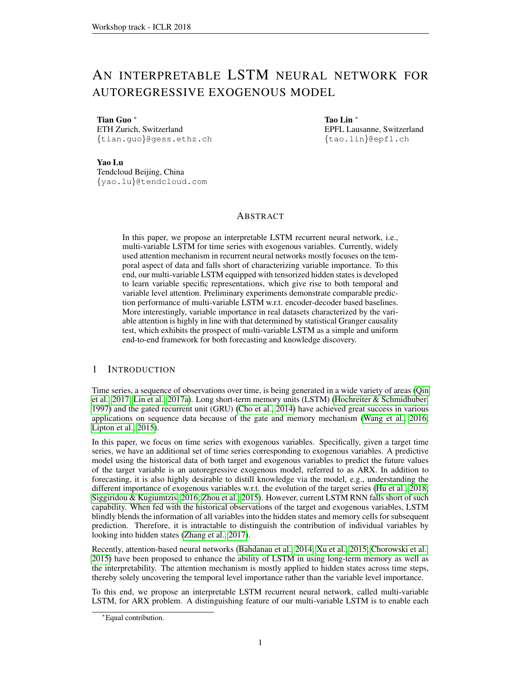# AN INTERPRETABLE LSTM NEURAL NETWORK FOR AUTOREGRESSIVE EXOGENOUS MODEL

Tian Guo <sup>∗</sup> ETH Zurich, Switzerland {tian.guo}@gess.ethz.ch Tao Lin <sup>∗</sup> EPFL Lausanne, Switzerland {tao.lin}@epfl.ch

Yao Lu

Tendcloud Beijing, China {yao.lu}@tendcloud.com

# ABSTRACT

In this paper, we propose an interpretable LSTM recurrent neural network, i.e., multi-variable LSTM for time series with exogenous variables. Currently, widely used attention mechanism in recurrent neural networks mostly focuses on the temporal aspect of data and falls short of characterizing variable importance. To this end, our multi-variable LSTM equipped with tensorized hidden states is developed to learn variable specific representations, which give rise to both temporal and variable level attention. Preliminary experiments demonstrate comparable prediction performance of multi-variable LSTM w.r.t. encoder-decoder based baselines. More interestingly, variable importance in real datasets characterized by the variable attention is highly in line with that determined by statistical Granger causality test, which exhibits the prospect of multi-variable LSTM as a simple and uniform end-to-end framework for both forecasting and knowledge discovery.

# 1 INTRODUCTION

Time series, a sequence of observations over time, is being generated in a wide variety of areas [\(Qin](#page-4-0) [et al., 2017;](#page-4-0) [Lin et al., 2017a\)](#page-3-0). Long short-term memory units (LSTM) [\(Hochreiter & Schmidhuber,](#page-3-1) [1997\)](#page-3-1) and the gated recurrent unit (GRU) [\(Cho et al., 2014\)](#page-3-2) have achieved great success in various applications on sequence data because of the gate and memory mechanism [\(Wang et al., 2016;](#page-4-1) [Lipton et al., 2015\)](#page-3-3).

In this paper, we focus on time series with exogenous variables. Specifically, given a target time series, we have an additional set of time series corresponding to exogenous variables. A predictive model using the historical data of both target and exogenous variables to predict the future values of the target variable is an autoregressive exogenous model, referred to as ARX. In addition to forecasting, it is also highly desirable to distill knowledge via the model, e.g., understanding the different importance of exogenous variables w.r.t. the evolution of the target series [\(Hu et al., 2018;](#page-3-4) [Siggiridou & Kugiumtzis, 2016;](#page-4-2) [Zhou et al., 2015\)](#page-4-3). However, current LSTM RNN falls short of such capability. When fed with the historical observations of the target and exogenous variables, LSTM blindly blends the information of all variables into the hidden states and memory cells for subsequent prediction. Therefore, it is intractable to distinguish the contribution of individual variables by looking into hidden states [\(Zhang et al., 2017\)](#page-4-4).

Recently, attention-based neural networks [\(Bahdanau et al., 2014;](#page-3-5) [Xu et al., 2015;](#page-4-5) [Chorowski et al.,](#page-3-6) [2015\)](#page-3-6) have been proposed to enhance the ability of LSTM in using long-term memory as well as the interpretability. The attention mechanism is mostly applied to hidden states across time steps, thereby solely uncovering the temporal level importance rather than the variable level importance.

To this end, we propose an interpretable LSTM recurrent neural network, called multi-variable LSTM, for ARX problem. A distinguishing feature of our multi-variable LSTM is to enable each

<sup>∗</sup>Equal contribution.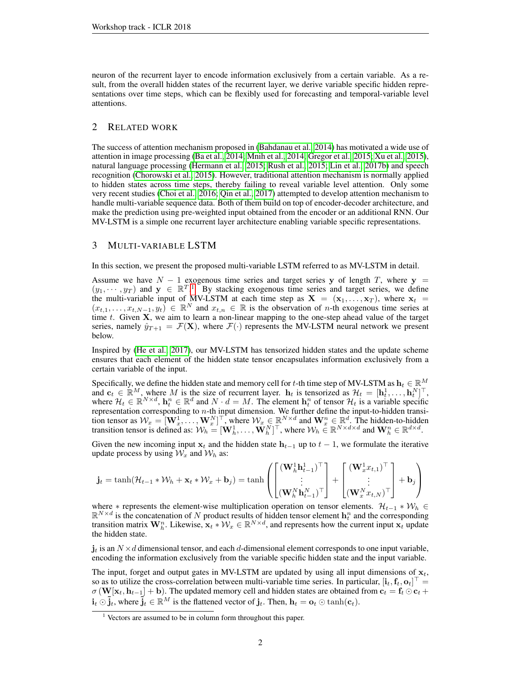neuron of the recurrent layer to encode information exclusively from a certain variable. As a result, from the overall hidden states of the recurrent layer, we derive variable specific hidden representations over time steps, which can be flexibly used for forecasting and temporal-variable level attentions.

# 2 RELATED WORK

The success of attention mechanism proposed in [\(Bahdanau et al., 2014\)](#page-3-5) has motivated a wide use of attention in image processing [\(Ba et al., 2014;](#page-3-7) [Mnih et al., 2014;](#page-4-6) [Gregor et al., 2015;](#page-3-8) [Xu et al., 2015\)](#page-4-5), natural language processing [\(Hermann et al., 2015;](#page-3-9) [Rush et al., 2015;](#page-4-7) [Lin et al., 2017b\)](#page-3-10) and speech recognition [\(Chorowski et al., 2015\)](#page-3-6). However, traditional attention mechanism is normally applied to hidden states across time steps, thereby failing to reveal variable level attention. Only some very recent studies [\(Choi et al., 2016;](#page-3-11) [Qin et al., 2017\)](#page-4-0) attempted to develop attention mechanism to handle multi-variable sequence data. Both of them build on top of encoder-decoder architecture, and make the prediction using pre-weighted input obtained from the encoder or an additional RNN. Our MV-LSTM is a simple one recurrent layer architecture enabling variable specific representations.

# 3 MULTI-VARIABLE LSTM

In this section, we present the proposed multi-variable LSTM referred to as MV-LSTM in detail.

Assume we have  $N - 1$  exogenous time series and target series y of length T, where y =  $(y_1, \dots, y_T)$  $(y_1, \dots, y_T)$  $(y_1, \dots, y_T)$  and  $y \in \mathbb{R}^{T}$ . By stacking exogenous time series and target series, we define the multi-variable input of MV-LSTM at each time step as  $X = (x_1, \ldots, x_T)$ , where  $x_t =$  $(x_{t,1},\ldots,x_{t,N-1},y_t) \in \mathbb{R}^N$  and  $x_{t,n} \in \mathbb{R}$  is the observation of n-th exogenous time series at time  $t$ . Given  $X$ , we aim to learn a non-linear mapping to the one-step ahead value of the target series, namely  $\hat{y}_{T+1} = \mathcal{F}(\mathbf{X})$ , where  $\mathcal{F}(\cdot)$  represents the MV-LSTM neural network we present below.

Inspired by [\(He et al., 2017\)](#page-3-12), our MV-LSTM has tensorized hidden states and the update scheme ensures that each element of the hidden state tensor encapsulates information exclusively from a certain variable of the input.

Specifically, we define the hidden state and memory cell for t-th time step of MV-LSTM as  $\mathbf{h}_t \in \mathbb{R}^M$ and  $\mathbf{c}_t \in \mathbb{R}^M$ , where M is the size of recurrent layer.  $\mathbf{h}_t$  is tensorized as  $\mathcal{H}_t = [\mathbf{h}_t^1, \dots, \mathbf{h}_t^N]^\top$ , where  $\mathcal{H}_t \in \mathbb{R}^{N \times d}$ ,  $\mathbf{h}_t^n \in \mathbb{R}^d$  and  $N \cdot d = M$ . The element  $\mathbf{h}_t^n$  of tensor  $\mathcal{H}_t$  is a variable specific representation corresponding to  $n$ -th input dimension. We further define the input-to-hidden transition tensor as  $W_x = [\mathbf{W}_x^1, \dots, \mathbf{W}_x^N]^\top$ , where  $W_x \in \mathbb{R}^{N \times d}$  and  $\mathbf{W}_x^n \in \mathbb{R}^d$ . The hidden-to-hidden transition tensor is defined as:  $W_h = [\mathbf{W}_h^1, \dots, \mathbf{W}_h^N]^\top$ , where  $W_h \in \mathbb{R}^{N \times d \times d}$  and  $\mathbf{W}_h^n \in \mathbb{R}^{d \times d}$ .

Given the new incoming input  $x_t$  and the hidden state  $h_{t-1}$  up to  $t-1$ , we formulate the iterative update process by using  $\mathcal{W}_x$  and  $\mathcal{W}_h$  as:

$$
\mathbf{j}_t = \tanh(\mathcal{H}_{t-1} * \mathcal{W}_h + \mathbf{x}_t * \mathcal{W}_x + \mathbf{b}_j) = \tanh\left(\begin{bmatrix} (\mathbf{W}_h^1 \mathbf{h}_{t-1}^1)^\top \\ \vdots \\ (\mathbf{W}_h^N \mathbf{h}_{t-1}^N)^\top \end{bmatrix} + \begin{bmatrix} (\mathbf{W}_x^1 x_{t,1})^\top \\ \vdots \\ (\mathbf{W}_x^N x_{t,N})^\top \end{bmatrix} + \mathbf{b}_j\right)
$$

where  $*$  represents the element-wise multiplication operation on tensor elements.  $\mathcal{H}_{t-1} * \mathcal{W}_h \in \mathbb{R}^{N \times d}$  is the concatenation of N product results of hidden tensor element  $\mathbf{h}_t^n$  and the corresponding transition matrix  $\mathbf{W}_h^n$ . Likewise,  $\mathbf{x}_t * \mathcal{W}_x \in \mathbb{R}^{N \times d}$ , and represents how the current input  $\mathbf{x}_t$  update the hidden state.

 $j_t$  is an  $N \times d$  dimensional tensor, and each d-dimensional element corresponds to one input variable, encoding the information exclusively from the variable specific hidden state and the input variable.

The input, forget and output gates in MV-LSTM are updated by using all input dimensions of  $x_t$ , so as to utilize the cross-correlation between multi-variable time series. In particular,  $[\mathbf{i}_t, \mathbf{f}_t, \mathbf{o}_t]^\top =$  $\sigma(W[x_t, h_{t-1}] + b)$ . The updated memory cell and hidden states are obtained from  $c_t = f_t \odot c_t + c_t$  $\mathbf{i}_t \odot \mathbf{j}_t$ , where  $\mathbf{j}_t \in \mathbb{R}^M$  is the flattened vector of  $\mathbf{j}_t$ . Then,  $\mathbf{h}_t = \mathbf{o}_t \odot \tanh(\mathbf{c}_t)$ .

<span id="page-1-0"></span><sup>&</sup>lt;sup>1</sup> Vectors are assumed to be in column form throughout this paper.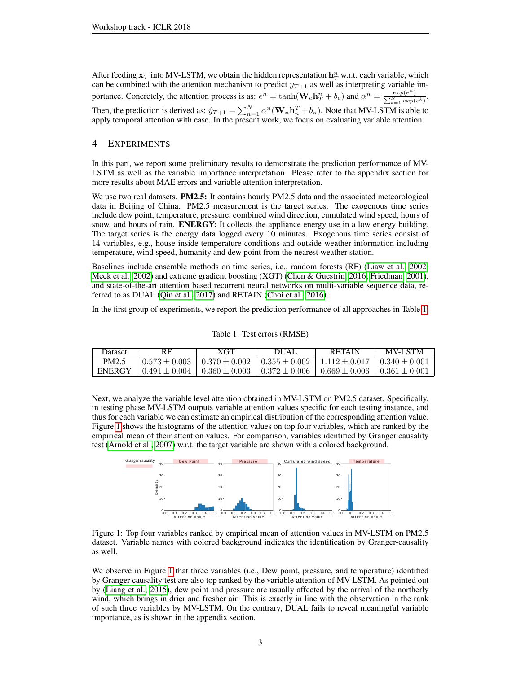After feeding  $x_T$  into MV-LSTM, we obtain the hidden representation  $h_T^n$  w.r.t. each variable, which can be combined with the attention mechanism to predict  $y_{T+1}$  as well as interpreting variable importance. Concretely, the attention process is as:  $e^n = \tanh(\mathbf{W}_e \mathbf{h}_T^n + b_e)$  and  $\alpha^n = \frac{exp(e^n - e)}{\sum_{i=1}^N e^{ix_i}}$ P  $\frac{exp(e^n)}{\sum\limits_{k=1}^{N}exp(e^k)}$ . Then, the prediction is derived as:  $\hat{y}_{T+1} = \sum_{n=1}^{N} \alpha^n (\mathbf{W_n h}_n^T + b_n)$ . Note that MV-LSTM is able to apply temporal attention with ease. In the present work, we focus on evaluating variable attention.

# 4 EXPERIMENTS

In this part, we report some preliminary results to demonstrate the prediction performance of MV-LSTM as well as the variable importance interpretation. Please refer to the appendix section for more results about MAE errors and variable attention interpretation.

We use two real datasets. **PM2.5:** It contains hourly PM2.5 data and the associated meteorological data in Beijing of China. PM2.5 measurement is the target series. The exogenous time series include dew point, temperature, pressure, combined wind direction, cumulated wind speed, hours of snow, and hours of rain. **ENERGY:** It collects the appliance energy use in a low energy building. The target series is the energy data logged every 10 minutes. Exogenous time series consist of 14 variables, e.g., house inside temperature conditions and outside weather information including temperature, wind speed, humanity and dew point from the nearest weather station.

Baselines include ensemble methods on time series, i.e., random forests (RF) [\(Liaw et al., 2002;](#page-3-13) [Meek et al., 2002\)](#page-4-8) and extreme gradient boosting (XGT) [\(Chen & Guestrin, 2016;](#page-3-14) [Friedman, 2001\)](#page-3-15), and state-of-the-art attention based recurrent neural networks on multi-variable sequence data, referred to as DUAL [\(Qin et al., 2017\)](#page-4-0) and RETAIN [\(Choi et al., 2016\)](#page-3-11).

<span id="page-2-0"></span>In the first group of experiments, we report the prediction performance of all approaches in Table [1.](#page-2-0)

| <b>Dataset</b>    | RF              | XGT                                 | <b>DUAL</b>                                                 | <b>RETAIN</b>                       | <b>MV-LSTM</b> |
|-------------------|-----------------|-------------------------------------|-------------------------------------------------------------|-------------------------------------|----------------|
| PM <sub>2.5</sub> | $0.573 + 0.003$ | $0.370 \pm 0.002$                   | $1.0.355 \pm 0.002$   $1.112 \pm 0.017$   $0.340 \pm 0.001$ |                                     |                |
| <b>ENERGY</b>     | $0.494 + 0.004$ | $0.360 \pm 0.003 + 0.372 \pm 0.006$ |                                                             | $0.669 \pm 0.006$ $0.361 \pm 0.001$ |                |

#### Table 1: Test errors (RMSE)

Next, we analyze the variable level attention obtained in MV-LSTM on PM2.5 dataset. Specifically, in testing phase MV-LSTM outputs variable attention values specific for each testing instance, and thus for each variable we can estimate an empirical distribution of the corresponding attention value. Figure [1](#page-2-1) shows the histograms of the attention values on top four variables, which are ranked by the empirical mean of their attention values. For comparison, variables identified by Granger causality test [\(Arnold et al., 2007\)](#page-3-16) w.r.t. the target variable are shown with a colored background.

<span id="page-2-1"></span>

Figure 1: Top four variables ranked by empirical mean of attention values in MV-LSTM on PM2.5 dataset. Variable names with colored background indicates the identification by Granger-causality as well.

We observe in Figure [1](#page-2-1) that three variables (i.e., Dew point, pressure, and temperature) identified by Granger causality test are also top ranked by the variable attention of MV-LSTM. As pointed out by [\(Liang et al., 2015\)](#page-3-17), dew point and pressure are usually affected by the arrival of the northerly wind, which brings in drier and fresher air. This is exactly in line with the observation in the rank of such three variables by MV-LSTM. On the contrary, DUAL fails to reveal meaningful variable importance, as is shown in the appendix section.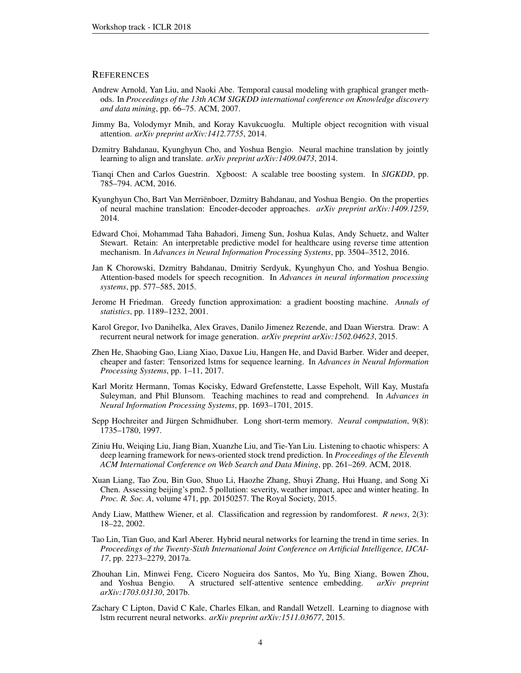#### **REFERENCES**

- <span id="page-3-16"></span>Andrew Arnold, Yan Liu, and Naoki Abe. Temporal causal modeling with graphical granger methods. In *Proceedings of the 13th ACM SIGKDD international conference on Knowledge discovery and data mining*, pp. 66–75. ACM, 2007.
- <span id="page-3-7"></span>Jimmy Ba, Volodymyr Mnih, and Koray Kavukcuoglu. Multiple object recognition with visual attention. *arXiv preprint arXiv:1412.7755*, 2014.
- <span id="page-3-5"></span>Dzmitry Bahdanau, Kyunghyun Cho, and Yoshua Bengio. Neural machine translation by jointly learning to align and translate. *arXiv preprint arXiv:1409.0473*, 2014.
- <span id="page-3-14"></span>Tianqi Chen and Carlos Guestrin. Xgboost: A scalable tree boosting system. In *SIGKDD*, pp. 785–794. ACM, 2016.
- <span id="page-3-2"></span>Kyunghyun Cho, Bart Van Merrienboer, Dzmitry Bahdanau, and Yoshua Bengio. On the properties ¨ of neural machine translation: Encoder-decoder approaches. *arXiv preprint arXiv:1409.1259*, 2014.
- <span id="page-3-11"></span>Edward Choi, Mohammad Taha Bahadori, Jimeng Sun, Joshua Kulas, Andy Schuetz, and Walter Stewart. Retain: An interpretable predictive model for healthcare using reverse time attention mechanism. In *Advances in Neural Information Processing Systems*, pp. 3504–3512, 2016.
- <span id="page-3-6"></span>Jan K Chorowski, Dzmitry Bahdanau, Dmitriy Serdyuk, Kyunghyun Cho, and Yoshua Bengio. Attention-based models for speech recognition. In *Advances in neural information processing systems*, pp. 577–585, 2015.
- <span id="page-3-15"></span>Jerome H Friedman. Greedy function approximation: a gradient boosting machine. *Annals of statistics*, pp. 1189–1232, 2001.
- <span id="page-3-8"></span>Karol Gregor, Ivo Danihelka, Alex Graves, Danilo Jimenez Rezende, and Daan Wierstra. Draw: A recurrent neural network for image generation. *arXiv preprint arXiv:1502.04623*, 2015.
- <span id="page-3-12"></span>Zhen He, Shaobing Gao, Liang Xiao, Daxue Liu, Hangen He, and David Barber. Wider and deeper, cheaper and faster: Tensorized lstms for sequence learning. In *Advances in Neural Information Processing Systems*, pp. 1–11, 2017.
- <span id="page-3-9"></span>Karl Moritz Hermann, Tomas Kocisky, Edward Grefenstette, Lasse Espeholt, Will Kay, Mustafa Suleyman, and Phil Blunsom. Teaching machines to read and comprehend. In *Advances in Neural Information Processing Systems*, pp. 1693–1701, 2015.
- <span id="page-3-1"></span>Sepp Hochreiter and Jürgen Schmidhuber. Long short-term memory. *Neural computation*, 9(8): 1735–1780, 1997.
- <span id="page-3-4"></span>Ziniu Hu, Weiqing Liu, Jiang Bian, Xuanzhe Liu, and Tie-Yan Liu. Listening to chaotic whispers: A deep learning framework for news-oriented stock trend prediction. In *Proceedings of the Eleventh ACM International Conference on Web Search and Data Mining*, pp. 261–269. ACM, 2018.
- <span id="page-3-17"></span>Xuan Liang, Tao Zou, Bin Guo, Shuo Li, Haozhe Zhang, Shuyi Zhang, Hui Huang, and Song Xi Chen. Assessing beijing's pm2. 5 pollution: severity, weather impact, apec and winter heating. In *Proc. R. Soc. A*, volume 471, pp. 20150257. The Royal Society, 2015.
- <span id="page-3-13"></span>Andy Liaw, Matthew Wiener, et al. Classification and regression by randomforest. *R news*, 2(3): 18–22, 2002.
- <span id="page-3-0"></span>Tao Lin, Tian Guo, and Karl Aberer. Hybrid neural networks for learning the trend in time series. In *Proceedings of the Twenty-Sixth International Joint Conference on Artificial Intelligence, IJCAI-17*, pp. 2273–2279, 2017a.
- <span id="page-3-10"></span>Zhouhan Lin, Minwei Feng, Cicero Nogueira dos Santos, Mo Yu, Bing Xiang, Bowen Zhou, and Yoshua Bengio. A structured self-attentive sentence embedding. *arXiv preprint arXiv:1703.03130*, 2017b.
- <span id="page-3-3"></span>Zachary C Lipton, David C Kale, Charles Elkan, and Randall Wetzell. Learning to diagnose with lstm recurrent neural networks. *arXiv preprint arXiv:1511.03677*, 2015.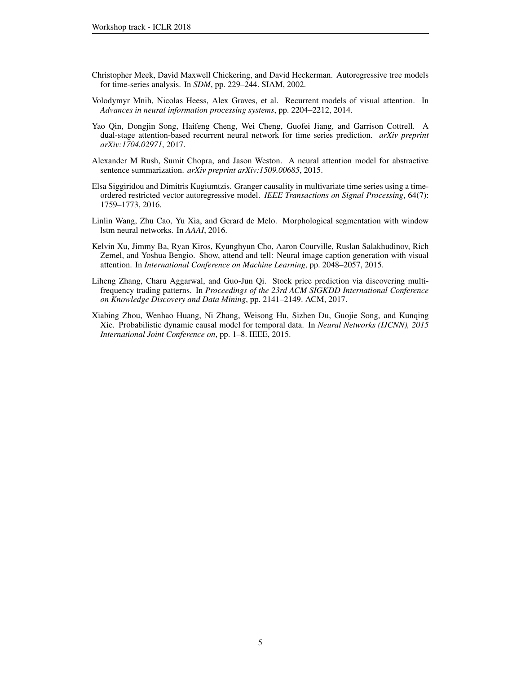- <span id="page-4-8"></span>Christopher Meek, David Maxwell Chickering, and David Heckerman. Autoregressive tree models for time-series analysis. In *SDM*, pp. 229–244. SIAM, 2002.
- <span id="page-4-6"></span>Volodymyr Mnih, Nicolas Heess, Alex Graves, et al. Recurrent models of visual attention. In *Advances in neural information processing systems*, pp. 2204–2212, 2014.
- <span id="page-4-0"></span>Yao Qin, Dongjin Song, Haifeng Cheng, Wei Cheng, Guofei Jiang, and Garrison Cottrell. A dual-stage attention-based recurrent neural network for time series prediction. *arXiv preprint arXiv:1704.02971*, 2017.
- <span id="page-4-7"></span>Alexander M Rush, Sumit Chopra, and Jason Weston. A neural attention model for abstractive sentence summarization. *arXiv preprint arXiv:1509.00685*, 2015.
- <span id="page-4-2"></span>Elsa Siggiridou and Dimitris Kugiumtzis. Granger causality in multivariate time series using a timeordered restricted vector autoregressive model. *IEEE Transactions on Signal Processing*, 64(7): 1759–1773, 2016.
- <span id="page-4-1"></span>Linlin Wang, Zhu Cao, Yu Xia, and Gerard de Melo. Morphological segmentation with window lstm neural networks. In *AAAI*, 2016.
- <span id="page-4-5"></span>Kelvin Xu, Jimmy Ba, Ryan Kiros, Kyunghyun Cho, Aaron Courville, Ruslan Salakhudinov, Rich Zemel, and Yoshua Bengio. Show, attend and tell: Neural image caption generation with visual attention. In *International Conference on Machine Learning*, pp. 2048–2057, 2015.
- <span id="page-4-4"></span>Liheng Zhang, Charu Aggarwal, and Guo-Jun Qi. Stock price prediction via discovering multifrequency trading patterns. In *Proceedings of the 23rd ACM SIGKDD International Conference on Knowledge Discovery and Data Mining*, pp. 2141–2149. ACM, 2017.
- <span id="page-4-3"></span>Xiabing Zhou, Wenhao Huang, Ni Zhang, Weisong Hu, Sizhen Du, Guojie Song, and Kunqing Xie. Probabilistic dynamic causal model for temporal data. In *Neural Networks (IJCNN), 2015 International Joint Conference on*, pp. 1–8. IEEE, 2015.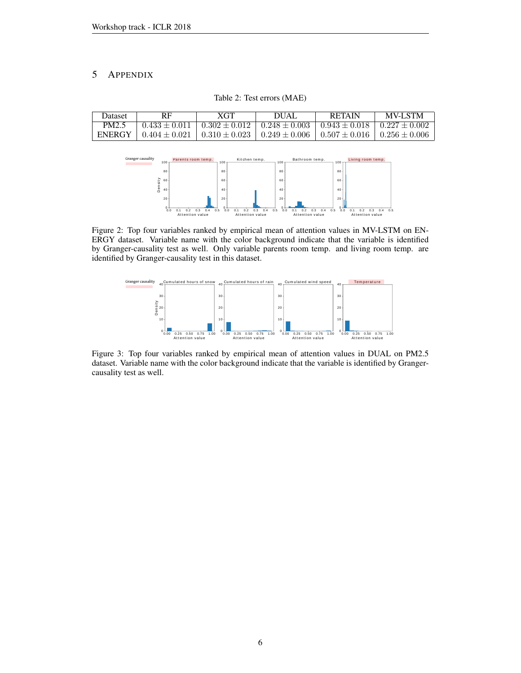# 5 APPENDIX

| Dataset | <b>RF</b>                                                                                                                           | <b>XGT</b> | DUAL                                                                                      | <b>RETAIN</b> | <b>MV-LSTM</b> |
|---------|-------------------------------------------------------------------------------------------------------------------------------------|------------|-------------------------------------------------------------------------------------------|---------------|----------------|
| PM2.5   |                                                                                                                                     |            | $0.433 \pm 0.011 + 0.302 \pm 0.012 + 0.248 \pm 0.003 + 0.943 \pm 0.018 + 0.227 \pm 0.002$ |               |                |
|         | ENERGY $\mid$ 0.404 $\pm$ 0.021 $\mid$ 0.310 $\pm$ 0.023 $\mid$ 0.249 $\pm$ 0.006 $\mid$ 0.507 $\pm$ 0.016 $\mid$ 0.256 $\pm$ 0.006 |            |                                                                                           |               |                |

Table 2: Test errors (MAE)



Figure 2: Top four variables ranked by empirical mean of attention values in MV-LSTM on EN-ERGY dataset. Variable name with the color background indicate that the variable is identified by Granger-causality test as well. Only variable parents room temp. and living room temp. are identified by Granger-causality test in this dataset.



Figure 3: Top four variables ranked by empirical mean of attention values in DUAL on PM2.5 dataset. Variable name with the color background indicate that the variable is identified by Grangercausality test as well.